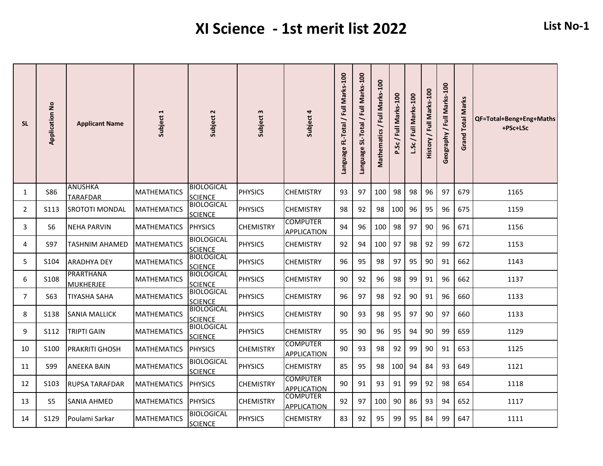| <b>SL</b>      | <b>Application No</b> | <b>Applicant Name</b>             | Subject 1          | Subject 2                           | Subject 3        | Subject 4                             | Language FL-Total / Full Marks-100 | SL-Total / Full Marks-100<br><b>Language</b> | Mathematics / Full Marks-100 | P.Sc / Full Marks-100 | / Full Marks-100<br>Sc | Full Marks-100<br>History | Geography / Full Marks-100 | <b>Grand Total Marks</b> | QF=Total+Beng+Eng+Maths<br>+PSc+LSc |
|----------------|-----------------------|-----------------------------------|--------------------|-------------------------------------|------------------|---------------------------------------|------------------------------------|----------------------------------------------|------------------------------|-----------------------|------------------------|---------------------------|----------------------------|--------------------------|-------------------------------------|
| 1              | S86                   | <b>ANUSHKA</b><br><b>TARAFDAR</b> | <b>MATHEMATICS</b> | <b>BIOLOGICAL</b><br><b>SCIENCE</b> | <b>PHYSICS</b>   | <b>CHEMISTRY</b>                      | 93                                 | 97                                           | 100                          | 98                    | 98                     | 96                        | 97                         | 679                      | 1165                                |
| $\overline{2}$ | S113                  | <b>SROTOTI MONDAL</b>             | <b>MATHEMATICS</b> | <b>BIOLOGICAL</b><br><b>SCIENCE</b> | <b>PHYSICS</b>   | <b>CHEMISTRY</b>                      | 98                                 | 92                                           | 98                           | 100                   | 96                     | 95                        | 96                         | 675                      | 1159                                |
| 3              | S <sub>6</sub>        | <b>NEHA PARVIN</b>                | <b>MATHEMATICS</b> | <b>PHYSICS</b>                      | <b>CHEMISTRY</b> | <b>COMPUTER</b><br><b>APPLICATION</b> | 94                                 | 96                                           | 100                          | 98                    | 97                     | 90                        | 96                         | 671                      | 1156                                |
| 4              | <b>S97</b>            | <b>TASHNIM AHAMED</b>             | <b>MATHEMATICS</b> | <b>BIOLOGICAL</b><br><b>SCIENCE</b> | <b>PHYSICS</b>   | <b>CHEMISTRY</b>                      | 92                                 | 94                                           | 100                          | 97                    | 98                     | 92                        | 99                         | 672                      | 1153                                |
| 5              | S104                  | <b>ARADHYA DEY</b>                | <b>MATHEMATICS</b> | <b>BIOLOGICAL</b><br><b>SCIENCE</b> | <b>PHYSICS</b>   | <b>CHEMISTRY</b>                      | 96                                 | 95                                           | 98                           | 97                    | 95                     | 90                        | 91                         | 662                      | 1143                                |
| 6              | S108                  | PRARTHANA<br><b>MUKHERJEE</b>     | <b>MATHEMATICS</b> | <b>BIOLOGICAL</b><br><b>SCIENCE</b> | <b>PHYSICS</b>   | <b>CHEMISTRY</b>                      | 90                                 | 92                                           | 96                           | 98                    | 99                     | 91                        | 96                         | 662                      | 1137                                |
| $\overline{7}$ | S63                   | <b>TIYASHA SAHA</b>               | <b>MATHEMATICS</b> | <b>BIOLOGICAL</b><br><b>SCIENCE</b> | <b>PHYSICS</b>   | <b>CHEMISTRY</b>                      | 96                                 | 97                                           | 98                           | 92                    | 90                     | 91                        | 96                         | 660                      | 1133                                |
| 8              | S138                  | SANIA MALLICK                     | <b>MATHEMATICS</b> | <b>BIOLOGICAL</b><br><b>SCIENCE</b> | <b>PHYSICS</b>   | <b>CHEMISTRY</b>                      | 90                                 | 93                                           | 98                           | 95                    | 97                     | 90                        | 97                         | 660                      | 1133                                |
| 9              | S112                  | TRIPTI GAIN                       | <b>MATHEMATICS</b> | <b>BIOLOGICAL</b><br><b>SCIENCE</b> | <b>PHYSICS</b>   | <b>CHEMISTRY</b>                      | 95                                 | 90                                           | 96                           | 95                    | 94                     | 90                        | 99                         | 659                      | 1129                                |
| 10             | S100                  | <b>PRAKRITI GHOSH</b>             | <b>MATHEMATICS</b> | <b>PHYSICS</b>                      | <b>CHEMISTRY</b> | <b>COMPUTER</b><br><b>APPLICATION</b> | 90                                 | 93                                           | 98                           | 92                    | 99                     | 90                        | 91                         | 653                      | 1125                                |
| 11             | <b>S99</b>            | <b>ANEEKA BAIN</b>                | <b>MATHEMATICS</b> | <b>BIOLOGICAL</b><br><b>SCIENCE</b> | <b>PHYSICS</b>   | <b>CHEMISTRY</b>                      | 85                                 | 95                                           | 98                           | 100                   | 94                     | 84                        | 93                         | 649                      | 1121                                |
| 12             | S <sub>103</sub>      | <b>RUPSA TARAFDAR</b>             | <b>MATHEMATICS</b> | <b>PHYSICS</b>                      | <b>CHEMISTRY</b> | <b>COMPUTER</b><br><b>APPLICATION</b> | 90                                 | 91                                           | 93                           | 91                    | 99                     | 92                        | 98                         | 654                      | 1118                                |
| 13             | S <sub>5</sub>        | <b>SANIA AHMED</b>                | <b>MATHEMATICS</b> | <b>PHYSICS</b>                      | <b>CHEMISTRY</b> | <b>COMPUTER</b><br><b>APPLICATION</b> | 92                                 | 97                                           | 100                          | 90                    | 86                     | 93                        | 94                         | 652                      | 1117                                |
| 14             | S129                  | Poulami Sarkar                    | <b>MATHEMATICS</b> | <b>BIOLOGICAL</b><br><b>SCIENCE</b> | <b>PHYSICS</b>   | <b>CHEMISTRY</b>                      | 83                                 | 92                                           | 95                           | 99                    | 95                     | 84                        | 99                         | 647                      | 1111                                |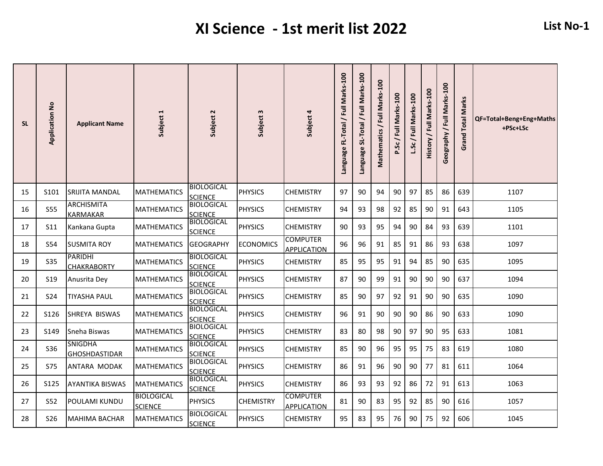| <b>SL</b> | <b>Application No</b> | <b>Applicant Name</b>                  | Subject 1                           | Subject 2                           | Subject 3        | Subject 4                             | Language FL-Total / Full Marks-100 | SL-Total / Full Marks-100<br><b>Language</b> | Mathematics / Full Marks-100 | P.Sc / Full Marks-100 | / Full Marks-100<br>5c | Full Marks-100<br>History | Geography / Full Marks-100 | <b>Grand Total Marks</b> | QF=Total+Beng+Eng+Maths<br>+PSc+LSc |
|-----------|-----------------------|----------------------------------------|-------------------------------------|-------------------------------------|------------------|---------------------------------------|------------------------------------|----------------------------------------------|------------------------------|-----------------------|------------------------|---------------------------|----------------------------|--------------------------|-------------------------------------|
| 15        | S101                  | SRIJITA MANDAL                         | MATHEMATICS                         | <b>BIOLOGICAL</b><br><b>SCIENCE</b> | <b>PHYSICS</b>   | CHEMISTRY                             | 97                                 | 90                                           | 94                           | 90                    | 97                     | 85                        | 86                         | 639                      | 1107                                |
| 16        | <b>S55</b>            | <b>ARCHISMITA</b><br><b>KARMAKAR</b>   | <b>MATHEMATICS</b>                  | <b>BIOLOGICAL</b><br><b>SCIENCE</b> | <b>PHYSICS</b>   | <b>CHEMISTRY</b>                      | 94                                 | 93                                           | 98                           | 92                    | 85                     | 90                        | 91                         | 643                      | 1105                                |
| 17        | S11                   | Kankana Gupta                          | <b>MATHEMATICS</b>                  | <b>BIOLOGICAL</b><br><b>SCIENCE</b> | <b>PHYSICS</b>   | <b>CHEMISTRY</b>                      | 90                                 | 93                                           | 95                           | 94                    | 90                     | 84                        | 93                         | 639                      | 1101                                |
| 18        | S54                   | <b>SUSMITA ROY</b>                     | <b>MATHEMATICS</b>                  | <b>GEOGRAPHY</b>                    | <b>ECONOMICS</b> | <b>COMPUTER</b><br><b>APPLICATION</b> | 96                                 | 96                                           | 91                           | 85                    | 91                     | 86                        | 93                         | 638                      | 1097                                |
| 19        | <b>S35</b>            | <b>PARIDHI</b><br><b>CHAKRABORTY</b>   | <b>MATHEMATICS</b>                  | <b>BIOLOGICAL</b><br><b>SCIENCE</b> | <b>PHYSICS</b>   | <b>CHEMISTRY</b>                      | 85                                 | 95                                           | 95                           | 91                    | 94                     | 85                        | 90                         | 635                      | 1095                                |
| 20        | <b>S19</b>            | Anusrita Dey                           | <b>MATHEMATICS</b>                  | <b>BIOLOGICAL</b><br><b>SCIENCE</b> | <b>PHYSICS</b>   | <b>CHEMISTRY</b>                      | 87                                 | 90                                           | 99                           | 91                    | 90                     | 90                        | 90                         | 637                      | 1094                                |
| 21        | <b>S24</b>            | <b>TIYASHA PAUL</b>                    | <b>MATHEMATICS</b>                  | <b>BIOLOGICAL</b><br><b>SCIENCE</b> | <b>PHYSICS</b>   | <b>CHEMISTRY</b>                      | 85                                 | 90                                           | 97                           | 92                    | 91                     | 90                        | 90                         | 635                      | 1090                                |
| 22        | S126                  | SHREYA BISWAS                          | MATHEMATICS                         | <b>BIOLOGICAL</b><br><b>SCIENCE</b> | <b>PHYSICS</b>   | CHEMISTRY                             | 96                                 | 91                                           | 90                           | 90                    | 90                     | 86                        | 90                         | 633                      | 1090                                |
| 23        | S149                  | Sneha Biswas                           | MATHEMATICS                         | <b>BIOLOGICAL</b><br><b>SCIENCE</b> | <b>PHYSICS</b>   | <b>CHEMISTRY</b>                      | 83                                 | 80                                           | 98                           | 90                    | 97                     | 90                        | 95                         | 633                      | 1081                                |
| 24        | <b>S36</b>            | <b>SNIGDHA</b><br><b>GHOSHDASTIDAR</b> | <b>MATHEMATICS</b>                  | <b>BIOLOGICAL</b><br><b>SCIENCE</b> | <b>PHYSICS</b>   | <b>CHEMISTRY</b>                      | 85                                 | 90                                           | 96                           | 95                    | 95                     | 75                        | 83                         | 619                      | 1080                                |
| 25        | <b>S75</b>            | ANTARA MODAK                           | <b>MATHEMATICS</b>                  | <b>BIOLOGICAL</b><br><b>SCIENCE</b> | <b>PHYSICS</b>   | <b>CHEMISTRY</b>                      | 86                                 | 91                                           | 96                           | 90                    | 90                     | 77                        | 81                         | 611                      | 1064                                |
| 26        | S <sub>125</sub>      | <b>AYANTIKA BISWAS</b>                 | <b>MATHEMATICS</b>                  | <b>BIOLOGICAL</b><br><b>SCIENCE</b> | <b>PHYSICS</b>   | <b>CHEMISTRY</b>                      | 86                                 | 93                                           | 93                           | 92                    | 86                     | 72                        | 91                         | 613                      | 1063                                |
| 27        | S52                   | POULAMI KUNDU                          | <b>BIOLOGICAL</b><br><b>SCIENCE</b> | <b>PHYSICS</b>                      | <b>CHEMISTRY</b> | <b>COMPUTER</b><br><b>APPLICATION</b> | 81                                 | 90                                           | 83                           | 95                    | 92                     | 85                        | 90                         | 616                      | 1057                                |
| 28        | S <sub>26</sub>       | <b>MAHIMA BACHAR</b>                   | <b>MATHEMATICS</b>                  | <b>BIOLOGICAL</b><br><b>SCIENCE</b> | PHYSICS          | <b>CHEMISTRY</b>                      | 95                                 | 83                                           | 95                           | 76                    | 90                     | 75                        | 92                         | 606                      | 1045                                |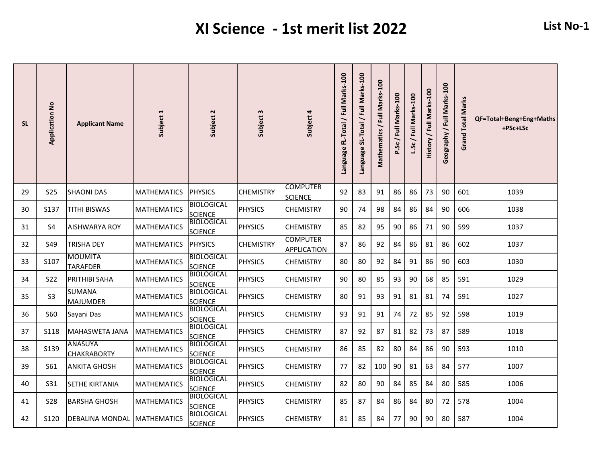| <b>SL</b> | <b>Application No</b> | <b>Applicant Name</b>                | Subject 1          | Subject 2                           | Subject 3        | Subject 4                             | Language FL-Total / Full Marks-100 | SL-Total / Full Marks-100<br><b>Language</b> | Mathematics / Full Marks-100 | P.Sc/Full Marks-100 | / Full Marks-100<br><u>ي</u> | Full Marks-100<br>History | Geography / Full Marks-100 | <b>Grand Total Marks</b> | QF=Total+Beng+Eng+Maths<br>+PSc+LSc |
|-----------|-----------------------|--------------------------------------|--------------------|-------------------------------------|------------------|---------------------------------------|------------------------------------|----------------------------------------------|------------------------------|---------------------|------------------------------|---------------------------|----------------------------|--------------------------|-------------------------------------|
| 29        | <b>S25</b>            | <b>SHAONI DAS</b>                    | <b>MATHEMATICS</b> | <b>PHYSICS</b>                      | <b>CHEMISTRY</b> | <b>COMPUTER</b><br><b>SCIENCE</b>     | 92                                 | 83                                           | 91                           | 86                  | 86                           | 73                        | 90                         | 601                      | 1039                                |
| 30        | S137                  | <b>TITHI BISWAS</b>                  | <b>MATHEMATICS</b> | <b>BIOLOGICAL</b><br><b>SCIENCE</b> | <b>PHYSICS</b>   | <b>CHEMISTRY</b>                      | 90                                 | 74                                           | 98                           | 84                  | 86                           | 84                        | 90                         | 606                      | 1038                                |
| 31        | S4                    | <b>AISHWARYA ROY</b>                 | <b>MATHEMATICS</b> | <b>BIOLOGICAL</b><br><b>SCIENCE</b> | <b>PHYSICS</b>   | <b>CHEMISTRY</b>                      | 85                                 | 82                                           | 95                           | 90                  | 86                           | 71                        | 90                         | 599                      | 1037                                |
| 32        | <b>S49</b>            | TRISHA DEY                           | <b>MATHEMATICS</b> | <b>PHYSICS</b>                      | <b>CHEMISTRY</b> | <b>COMPUTER</b><br><b>APPLICATION</b> | 87                                 | 86                                           | 92                           | 84                  | 86                           | 81                        | 86                         | 602                      | 1037                                |
| 33        | S107                  | <b>MOUMITA</b><br><b>TARAFDER</b>    | <b>MATHEMATICS</b> | <b>BIOLOGICAL</b><br><b>SCIENCE</b> | <b>PHYSICS</b>   | <b>CHEMISTRY</b>                      | 80                                 | 80                                           | 92                           | 84                  | 91                           | 86                        | 90                         | 603                      | 1030                                |
| 34        | <b>S22</b>            | <b>PRITHIBI SAHA</b>                 | <b>MATHEMATICS</b> | <b>BIOLOGICAL</b><br><b>SCIENCE</b> | <b>PHYSICS</b>   | <b>CHEMISTRY</b>                      | 90                                 | 80                                           | 85                           | 93                  | 90                           | 68                        | 85                         | 591                      | 1029                                |
| 35        | S <sub>3</sub>        | <b>SUMANA</b><br><b>MAJUMDER</b>     | <b>MATHEMATICS</b> | <b>BIOLOGICAL</b><br><b>SCIENCE</b> | <b>PHYSICS</b>   | <b>CHEMISTRY</b>                      | 80                                 | 91                                           | 93                           | 91                  | 81                           | 81                        | 74                         | 591                      | 1027                                |
| 36        | <b>S60</b>            | Sayani Das                           | <b>MATHEMATICS</b> | <b>BIOLOGICAL</b><br><b>SCIENCE</b> | <b>PHYSICS</b>   | <b>CHEMISTRY</b>                      | 93                                 | 91                                           | 91                           | 74                  | 72                           | 85                        | 92                         | 598                      | 1019                                |
| 37        | <b>S118</b>           | <b>MAHASWETA JANA</b>                | <b>MATHEMATICS</b> | <b>BIOLOGICAL</b><br><b>SCIENCE</b> | <b>PHYSICS</b>   | <b>CHEMISTRY</b>                      | 87                                 | 92                                           | 87                           | 81                  | 82                           | 73                        | 87                         | 589                      | 1018                                |
| 38        | S139                  | <b>ANASUYA</b><br><b>CHAKRABORTY</b> | <b>MATHEMATICS</b> | <b>BIOLOGICAL</b><br><b>SCIENCE</b> | <b>PHYSICS</b>   | <b>CHEMISTRY</b>                      | 86                                 | 85                                           | 82                           | 80                  | 84                           | 86                        | 90                         | 593                      | 1010                                |
| 39        | <b>S61</b>            | <b>ANKITA GHOSH</b>                  | <b>MATHEMATICS</b> | <b>BIOLOGICAL</b><br><b>SCIENCE</b> | <b>PHYSICS</b>   | <b>CHEMISTRY</b>                      | 77                                 | 82                                           | 100                          | 90                  | 81                           | 63                        | 84                         | 577                      | 1007                                |
| 40        | S31                   | <b>SETHE KIRTANIA</b>                | <b>MATHEMATICS</b> | <b>BIOLOGICAL</b><br><b>SCIENCE</b> | <b>PHYSICS</b>   | <b>CHEMISTRY</b>                      | 82                                 | 80                                           | 90                           | 84                  | 85                           | 84                        | 80                         | 585                      | 1006                                |
| 41        | <b>S28</b>            | <b>BARSHA GHOSH</b>                  | <b>MATHEMATICS</b> | <b>BIOLOGICAL</b><br><b>SCIENCE</b> | <b>PHYSICS</b>   | <b>CHEMISTRY</b>                      | 85                                 | 87                                           | 84                           | 86                  | 84                           | 80                        | 72                         | 578                      | 1004                                |
| 42        | S120                  | DEBALINA MONDAL MATHEMATICS          |                    | <b>BIOLOGICAL</b><br><b>SCIENCE</b> | <b>PHYSICS</b>   | <b>CHEMISTRY</b>                      | 81                                 | 85                                           | 84                           | 77                  | 90                           | 90                        | 80                         | 587                      | 1004                                |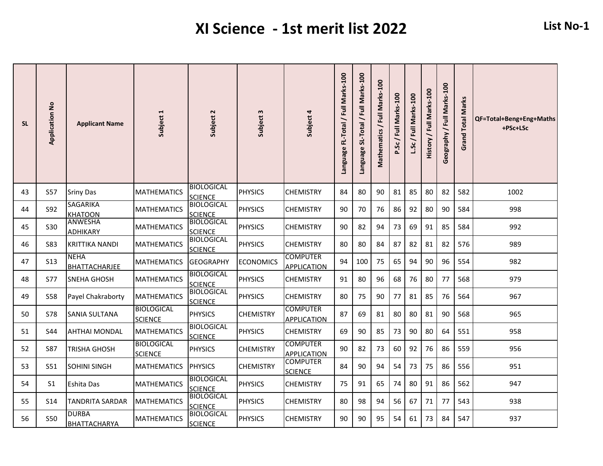| <b>SL</b> | $\frac{1}{2}$<br>Application | <b>Applicant Name</b>               | Subject 1                           | Subject 2                           | Subject 3        | Subject 4                             | Language FL-Total / Full Marks-100 | SL-Total / Full Marks-100<br><b>Language</b> | Mathematics / Full Marks-100 | P.Sc/Full Marks-100 | / Full Marks-100<br>L.Sc | Full Marks-100<br><b>History</b> | Geography / Full Marks-100 | <b>Grand Total Marks</b> | QF=Total+Beng+Eng+Maths<br>+PSc+LSc |
|-----------|------------------------------|-------------------------------------|-------------------------------------|-------------------------------------|------------------|---------------------------------------|------------------------------------|----------------------------------------------|------------------------------|---------------------|--------------------------|----------------------------------|----------------------------|--------------------------|-------------------------------------|
| 43        | <b>S57</b>                   | <b>Sriny Das</b>                    | <b>MATHEMATICS</b>                  | <b>BIOLOGICAL</b><br><b>SCIENCE</b> | <b>PHYSICS</b>   | <b>CHEMISTRY</b>                      | 84                                 | 80                                           | 90                           | 81                  | 85                       | 80                               | 82                         | 582                      | 1002                                |
| 44        | S92                          | <b>SAGARIKA</b><br><b>KHATOON</b>   | <b>MATHEMATICS</b>                  | <b>BIOLOGICAL</b><br><b>SCIENCE</b> | <b>PHYSICS</b>   | <b>CHEMISTRY</b>                      | 90                                 | 70                                           | 76                           | 86                  | 92                       | 80                               | 90                         | 584                      | 998                                 |
| 45        | S <sub>30</sub>              | <b>ANWESHA</b><br><b>ADHIKARY</b>   | <b>MATHEMATICS</b>                  | <b>BIOLOGICAL</b><br><b>SCIENCE</b> | <b>PHYSICS</b>   | <b>CHEMISTRY</b>                      | 90                                 | 82                                           | 94                           | 73                  | 69                       | 91                               | 85                         | 584                      | 992                                 |
| 46        | <b>S83</b>                   | <b>KRITTIKA NANDI</b>               | <b>MATHEMATICS</b>                  | <b>BIOLOGICAL</b><br><b>SCIENCE</b> | <b>PHYSICS</b>   | <b>CHEMISTRY</b>                      | 80                                 | 80                                           | 84                           | 87                  | 82                       | 81                               | 82                         | 576                      | 989                                 |
| 47        | S <sub>13</sub>              | <b>NEHA</b><br><b>BHATTACHARJEE</b> | <b>MATHEMATICS</b>                  | <b>GEOGRAPHY</b>                    | <b>ECONOMICS</b> | <b>COMPUTER</b><br><b>APPLICATION</b> | 94                                 | 100                                          | 75                           | 65                  | 94                       | 90                               | 96                         | 554                      | 982                                 |
| 48        | <b>S77</b>                   | <b>SNEHA GHOSH</b>                  | <b>MATHEMATICS</b>                  | <b>BIOLOGICAL</b><br><b>SCIENCE</b> | <b>PHYSICS</b>   | <b>CHEMISTRY</b>                      | 91                                 | 80                                           | 96                           | 68                  | 76                       | 80                               | 77                         | 568                      | 979                                 |
| 49        | <b>S58</b>                   | Payel Chakraborty                   | <b>MATHEMATICS</b>                  | <b>BIOLOGICAL</b><br><b>SCIENCE</b> | <b>PHYSICS</b>   | <b>CHEMISTRY</b>                      | 80                                 | 75                                           | 90                           | 77                  | 81                       | 85                               | 76                         | 564                      | 967                                 |
| 50        | <b>S78</b>                   | SANIA SULTANA                       | <b>BIOLOGICAL</b><br><b>SCIENCE</b> | <b>PHYSICS</b>                      | <b>CHEMISTRY</b> | <b>COMPUTER</b><br><b>APPLICATION</b> | 87                                 | 69                                           | 81                           | 80                  | 80                       | 81                               | 90                         | 568                      | 965                                 |
| 51        | S44                          | <b>AHTHAI MONDAL</b>                | <b>MATHEMATICS</b>                  | <b>BIOLOGICAL</b><br><b>SCIENCE</b> | <b>PHYSICS</b>   | <b>CHEMISTRY</b>                      | 69                                 | 90                                           | 85                           | 73                  | 90                       | 80                               | 64                         | 551                      | 958                                 |
| 52        | <b>S87</b>                   | TRISHA GHOSH                        | <b>BIOLOGICAL</b><br><b>SCIENCE</b> | <b>PHYSICS</b>                      | <b>CHEMISTRY</b> | <b>COMPUTER</b><br><b>APPLICATION</b> | 90                                 | 82                                           | 73                           | 60                  | 92                       | 76                               | 86                         | 559                      | 956                                 |
| 53        | S51                          | <b>SOHINI SINGH</b>                 | <b>MATHEMATICS</b>                  | <b>PHYSICS</b>                      | <b>CHEMISTRY</b> | <b>COMPUTER</b><br><b>SCIENCE</b>     | 84                                 | 90                                           | 94                           | 54                  | 73                       | 75                               | 86                         | 556                      | 951                                 |
| 54        | S1                           | Eshita Das                          | <b>MATHEMATICS</b>                  | <b>BIOLOGICAL</b><br><b>SCIENCE</b> | <b>PHYSICS</b>   | <b>CHEMISTRY</b>                      | 75                                 | 91                                           | 65                           | 74                  | 80                       | 91                               | 86                         | 562                      | 947                                 |
| 55        | S <sub>14</sub>              | <b>TANDRITA SARDAR</b>              | <b>MATHEMATICS</b>                  | <b>BIOLOGICAL</b><br><b>SCIENCE</b> | <b>PHYSICS</b>   | <b>CHEMISTRY</b>                      | 80                                 | 98                                           | 94                           | 56                  | 67                       | 71                               | 77                         | 543                      | 938                                 |
| 56        | S50                          | <b>DURBA</b><br><b>BHATTACHARYA</b> | <b>MATHEMATICS</b>                  | <b>BIOLOGICAL</b><br><b>SCIENCE</b> | <b>PHYSICS</b>   | <b>CHEMISTRY</b>                      | 90                                 | 90                                           | 95                           | 54                  | 61                       | 73                               | 84                         | 547                      | 937                                 |